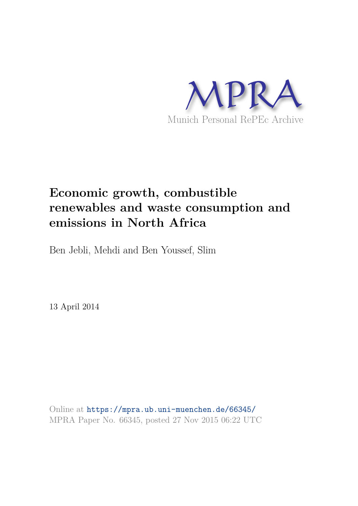

# **Economic growth, combustible renewables and waste consumption and emissions in North Africa**

Ben Jebli, Mehdi and Ben Youssef, Slim

13 April 2014

Online at https://mpra.ub.uni-muenchen.de/66345/ MPRA Paper No. 66345, posted 27 Nov 2015 06:22 UTC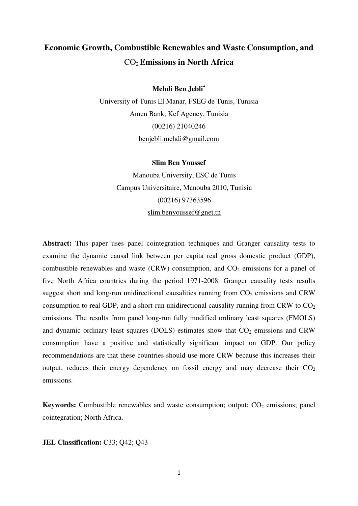# **Economic Growth, Combustible Renewables and Waste Consumption, and** CO2**Emissions in North Africa**

**Mehdi Ben Jebli**

University of Tunis El Manar, FSEG de Tunis, Tunisia Amen Bank, Kef Agency, Tunisia (00216) 21040246 [benjebli.mehdi@gmail.com](mailto:benjebli.mehdi@gmail.com) 

# **Slim Ben Youssef**

Manouba University, ESC de Tunis Campus Universitaire, Manouba 2010, Tunisia (00216) 97363596 [slim.benyoussef@gnet.tn](mailto:slim.benyoussef@gnet.tn) 

**Abstract:** This paper uses panel cointegration techniques and Granger causality tests to examine the dynamic causal link between per capita real gross domestic product (GDP), combustible renewables and waste (CRW) consumption, and  $CO<sub>2</sub>$  emissions for a panel of five North Africa countries during the period 1971-2008. Granger causality tests results suggest short and long-run unidirectional causalities running from  $CO<sub>2</sub>$  emissions and CRW consumption to real GDP, and a short-run unidirectional causality running from CRW to  $CO<sub>2</sub>$ emissions. The results from panel long-run fully modified ordinary least squares (FMOLS) and dynamic ordinary least squares (DOLS) estimates show that  $CO<sub>2</sub>$  emissions and CRW consumption have a positive and statistically significant impact on GDP. Our policy recommendations are that these countries should use more CRW because this increases their output, reduces their energy dependency on fossil energy and may decrease their  $CO<sub>2</sub>$ emissions.

**Keywords:** Combustible renewables and waste consumption; output;  $CO<sub>2</sub>$  emissions; panel cointegration; North Africa.

# **JEL Classification: C33; Q42; Q43**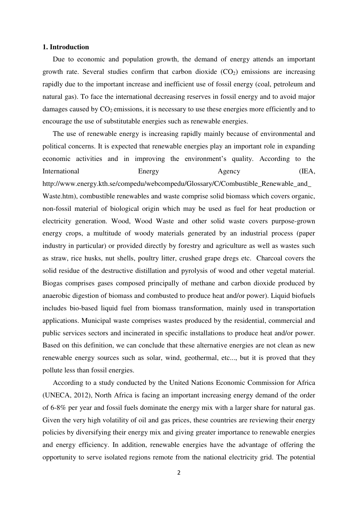# **1. Introduction**

Due to economic and population growth, the demand of energy attends an important growth rate. Several studies confirm that carbon dioxide  $(CO<sub>2</sub>)$  emissions are increasing rapidly due to the important increase and inefficient use of fossil energy (coal, petroleum and natural gas). To face the international decreasing reserves in fossil energy and to avoid major damages caused by  $CO<sub>2</sub>$  emissions, it is necessary to use these energies more efficiently and to encourage the use of substitutable energies such as renewable energies.

The use of renewable energy is increasing rapidly mainly because of environmental and political concerns. It is expected that renewable energies play an important role in expanding economic activities and in improving the environment's quality. According to the International Energy Agency (IEA, http://www.energy.kth.se/compedu/webcompedu/Glossary/C/Combustible\_Renewable\_and\_ Waste.htm), combustible renewables and waste comprise solid biomass which covers organic, non-fossil material of biological origin which may be used as fuel for heat production or electricity generation. Wood, Wood Waste and other solid waste covers purpose-grown energy crops, a multitude of woody materials generated by an industrial process (paper industry in particular) or provided directly by forestry and agriculture as well as wastes such as straw, rice husks, nut shells, poultry litter, crushed grape dregs etc. Charcoal covers the solid residue of the destructive distillation and pyrolysis of wood and other vegetal material. Biogas comprises gases composed principally of methane and carbon dioxide produced by anaerobic digestion of biomass and combusted to produce heat and/or power). Liquid biofuels includes bio-based liquid fuel from biomass transformation, mainly used in transportation applications. Municipal waste comprises wastes produced by the residential, commercial and public services sectors and incinerated in specific installations to produce heat and/or power. Based on this definition, we can conclude that these alternative energies are not clean as new renewable energy sources such as solar, wind, geothermal, etc..., but it is proved that they pollute less than fossil energies.

According to a study conducted by the United Nations Economic Commission for Africa (UNECA, 2012), North Africa is facing an important increasing energy demand of the order of 6-8% per year and fossil fuels dominate the energy mix with a larger share for natural gas. Given the very high volatility of oil and gas prices, these countries are reviewing their energy policies by diversifying their energy mix and giving greater importance to renewable energies and energy efficiency. In addition, renewable energies have the advantage of offering the opportunity to serve isolated regions remote from the national electricity grid. The potential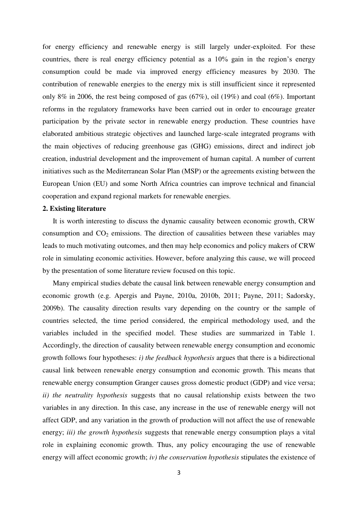for energy efficiency and renewable energy is still largely under-exploited. For these countries, there is real energy efficiency potential as a 10% gain in the region's energy consumption could be made via improved energy efficiency measures by 2030. The contribution of renewable energies to the energy mix is still insufficient since it represented only 8% in 2006, the rest being composed of gas (67%), oil (19%) and coal (6%). Important reforms in the regulatory frameworks have been carried out in order to encourage greater participation by the private sector in renewable energy production. These countries have elaborated ambitious strategic objectives and launched large-scale integrated programs with the main objectives of reducing greenhouse gas (GHG) emissions, direct and indirect job creation, industrial development and the improvement of human capital. A number of current initiatives such as the Mediterranean Solar Plan (MSP) or the agreements existing between the European Union (EU) and some North Africa countries can improve technical and financial cooperation and expand regional markets for renewable energies.

#### **2. Existing literature**

It is worth interesting to discuss the dynamic causality between economic growth, CRW consumption and  $CO<sub>2</sub>$  emissions. The direction of causalities between these variables may leads to much motivating outcomes, and then may help economics and policy makers of CRW role in simulating economic activities. However, before analyzing this cause, we will proceed by the presentation of some literature review focused on this topic.

Many empirical studies debate the causal link between renewable energy consumption and economic growth (e.g. Apergis and Payne, 2010a, 2010b, 2011; Payne, 2011; Sadorsky, 2009b). The causality direction results vary depending on the country or the sample of countries selected, the time period considered, the empirical methodology used, and the variables included in the specified model. These studies are summarized in Table 1. Accordingly, the direction of causality between renewable energy consumption and economic growth follows four hypotheses: *i) the feedback hypothesis* argues that there is a bidirectional causal link between renewable energy consumption and economic growth. This means that renewable energy consumption Granger causes gross domestic product (GDP) and vice versa; *ii) the neutrality hypothesis* suggests that no causal relationship exists between the two variables in any direction. In this case, any increase in the use of renewable energy will not affect GDP, and any variation in the growth of production will not affect the use of renewable energy; *iii) the growth hypothesis* suggests that renewable energy consumption plays a vital role in explaining economic growth. Thus, any policy encouraging the use of renewable energy will affect economic growth; *iv) the conservation hypothesis* stipulates the existence of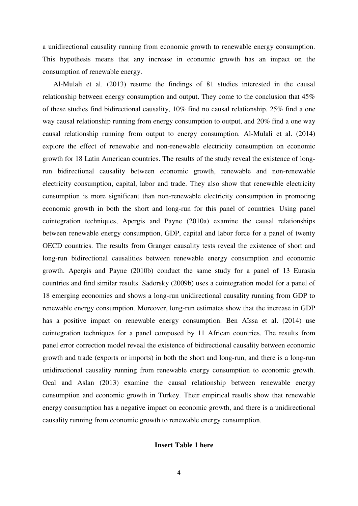a unidirectional causality running from economic growth to renewable energy consumption. This hypothesis means that any increase in economic growth has an impact on the consumption of renewable energy.

Al-Mulali et al. (2013) resume the findings of 81 studies interested in the causal relationship between energy consumption and output. They come to the conclusion that 45% of these studies find bidirectional causality, 10% find no causal relationship, 25% find a one way causal relationship running from energy consumption to output, and 20% find a one way causal relationship running from output to energy consumption. Al-Mulali et al. (2014) explore the effect of renewable and non-renewable electricity consumption on economic growth for 18 Latin American countries. The results of the study reveal the existence of longrun bidirectional causality between economic growth, renewable and non-renewable electricity consumption, capital, labor and trade. They also show that renewable electricity consumption is more significant than non-renewable electricity consumption in promoting economic growth in both the short and long-run for this panel of countries. Using panel cointegration techniques, Apergis and Payne (2010a) examine the causal relationships between renewable energy consumption, GDP, capital and labor force for a panel of twenty OECD countries. The results from Granger causality tests reveal the existence of short and long-run bidirectional causalities between renewable energy consumption and economic growth. Apergis and Payne (2010b) conduct the same study for a panel of 13 Eurasia countries and find similar results. Sadorsky (2009b) uses a cointegration model for a panel of 18 emerging economies and shows a long-run unidirectional causality running from GDP to renewable energy consumption. Moreover, long-run estimates show that the increase in GDP has a positive impact on renewable energy consumption. Ben Aïssa et al. (2014) use cointegration techniques for a panel composed by 11 African countries. The results from panel error correction model reveal the existence of bidirectional causality between economic growth and trade (exports or imports) in both the short and long-run, and there is a long-run unidirectional causality running from renewable energy consumption to economic growth. Ocal and Aslan (2013) examine the causal relationship between renewable energy consumption and economic growth in Turkey. Their empirical results show that renewable energy consumption has a negative impact on economic growth, and there is a unidirectional causality running from economic growth to renewable energy consumption.

# **Insert Table 1 here**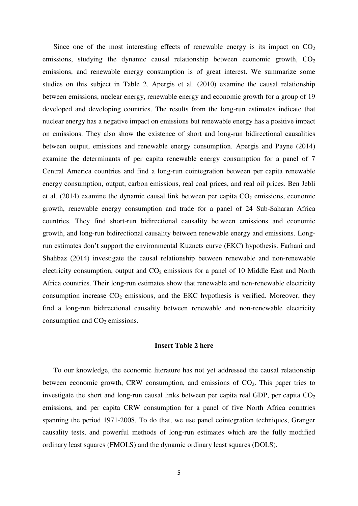Since one of the most interesting effects of renewable energy is its impact on  $CO<sub>2</sub>$ emissions, studying the dynamic causal relationship between economic growth,  $CO<sub>2</sub>$ emissions, and renewable energy consumption is of great interest. We summarize some studies on this subject in Table 2. Apergis et al. (2010) examine the causal relationship between emissions, nuclear energy, renewable energy and economic growth for a group of 19 developed and developing countries. The results from the long-run estimates indicate that nuclear energy has a negative impact on emissions but renewable energy has a positive impact on emissions. They also show the existence of short and long-run bidirectional causalities between output, emissions and renewable energy consumption. Apergis and Payne (2014) examine the determinants of per capita renewable energy consumption for a panel of 7 Central America countries and find a long-run cointegration between per capita renewable energy consumption, output, carbon emissions, real coal prices, and real oil prices. Ben Jebli et al.  $(2014)$  examine the dynamic causal link between per capita  $CO<sub>2</sub>$  emissions, economic growth, renewable energy consumption and trade for a panel of 24 Sub-Saharan Africa countries. They find short-run bidirectional causality between emissions and economic growth, and long-run bidirectional causality between renewable energy and emissions. Longrun estimates don't support the environmental Kuznets curve (EKC) hypothesis. Farhani and Shahbaz (2014) investigate the causal relationship between renewable and non-renewable electricity consumption, output and  $CO<sub>2</sub>$  emissions for a panel of 10 Middle East and North Africa countries. Their long-run estimates show that renewable and non-renewable electricity consumption increase  $CO<sub>2</sub>$  emissions, and the EKC hypothesis is verified. Moreover, they find a long-run bidirectional causality between renewable and non-renewable electricity consumption and  $CO<sub>2</sub>$  emissions.

# **Insert Table 2 here**

To our knowledge, the economic literature has not yet addressed the causal relationship between economic growth, CRW consumption, and emissions of  $CO<sub>2</sub>$ . This paper tries to investigate the short and long-run causal links between per capita real GDP, per capita  $CO<sub>2</sub>$ emissions, and per capita CRW consumption for a panel of five North Africa countries spanning the period 1971-2008. To do that, we use panel cointegration techniques, Granger causality tests, and powerful methods of long-run estimates which are the fully modified ordinary least squares (FMOLS) and the dynamic ordinary least squares (DOLS).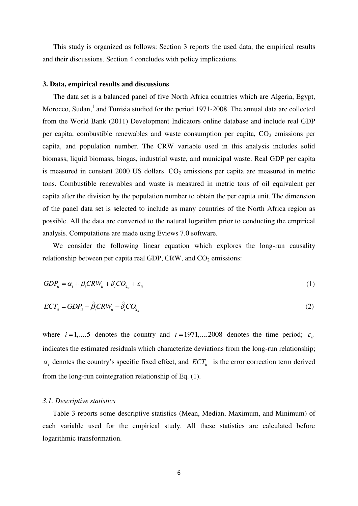This study is organized as follows: Section 3 reports the used data, the empirical results and their discussions. Section 4 concludes with policy implications.

#### **3. Data, empirical results and discussions**

The data set is a balanced panel of five North Africa countries which are Algeria, Egypt, Morocco, Sudan, $<sup>1</sup>$  and Tunisia studied for the period 1971-2008. The annual data are collected</sup> from the World Bank (2011) Development Indicators online database and include real GDP per capita, combustible renewables and waste consumption per capita,  $CO<sub>2</sub>$  emissions per capita, and population number. The CRW variable used in this analysis includes solid biomass, liquid biomass, biogas, industrial waste, and municipal waste. Real GDP per capita is measured in constant 2000 US dollars.  $CO<sub>2</sub>$  emissions per capita are measured in metric tons. Combustible renewables and waste is measured in metric tons of oil equivalent per capita after the division by the population number to obtain the per capita unit. The dimension of the panel data set is selected to include as many countries of the North Africa region as possible. All the data are converted to the natural logarithm prior to conducting the empirical analysis. Computations are made using Eviews 7.0 software.

We consider the following linear equation which explores the long-run causality relationship between per capita real GDP, CRW, and  $CO<sub>2</sub>$  emissions:

$$
GDP_{it} = \alpha_i + \beta_i CRW_{it} + \delta_i CO_{2_{it}} + \varepsilon_{it}
$$
\n<sup>(1)</sup>

$$
ECTit = GDPit - \hat{\beta}_i CRWit - \hat{\delta}_i CO_{2_{it}}
$$
 (2)

where  $i = 1, ..., 5$  denotes the country and  $t = 1971,...,2008$  denotes the time period;  $\varepsilon_{it}$ indicates the estimated residuals which characterize deviations from the long-run relationship;  $\alpha_i$  denotes the country's specific fixed effect, and  $ECT_{it}$  is the error correction term derived from the long-run cointegration relationship of Eq. (1).

#### *3.1. Descriptive statistics*

Table 3 reports some descriptive statistics (Mean, Median, Maximum, and Minimum) of each variable used for the empirical study. All these statistics are calculated before logarithmic transformation.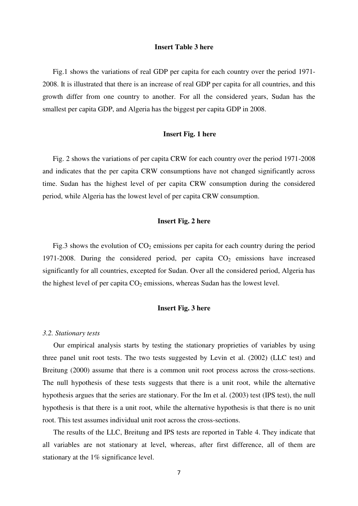# **Insert Table 3 here**

Fig.1 shows the variations of real GDP per capita for each country over the period 1971- 2008. It is illustrated that there is an increase of real GDP per capita for all countries, and this growth differ from one country to another. For all the considered years, Sudan has the smallest per capita GDP, and Algeria has the biggest per capita GDP in 2008.

#### **Insert Fig. 1 here**

Fig. 2 shows the variations of per capita CRW for each country over the period 1971-2008 and indicates that the per capita CRW consumptions have not changed significantly across time. Sudan has the highest level of per capita CRW consumption during the considered period, while Algeria has the lowest level of per capita CRW consumption.

# **Insert Fig. 2 here**

Fig.3 shows the evolution of  $CO<sub>2</sub>$  emissions per capita for each country during the period 1971-2008. During the considered period, per capita  $CO<sub>2</sub>$  emissions have increased significantly for all countries, excepted for Sudan. Over all the considered period, Algeria has the highest level of per capita  $CO<sub>2</sub>$  emissions, whereas Sudan has the lowest level.

# **Insert Fig. 3 here**

#### *3.2. Stationary tests*

Our empirical analysis starts by testing the stationary proprieties of variables by using three panel unit root tests. The two tests suggested by Levin et al. (2002) (LLC test) and Breitung (2000) assume that there is a common unit root process across the cross-sections. The null hypothesis of these tests suggests that there is a unit root, while the alternative hypothesis argues that the series are stationary. For the Im et al. (2003) test (IPS test), the null hypothesis is that there is a unit root, while the alternative hypothesis is that there is no unit root. This test assumes individual unit root across the cross-sections.

The results of the LLC, Breitung and IPS tests are reported in Table 4. They indicate that all variables are not stationary at level, whereas, after first difference, all of them are stationary at the 1% significance level.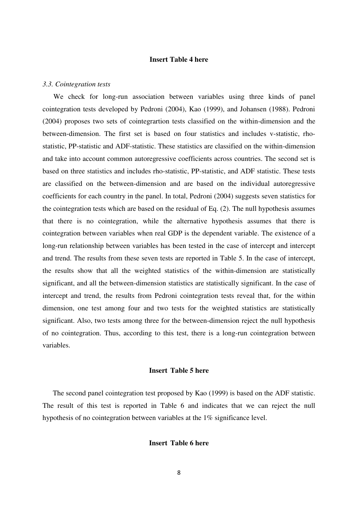# **Insert Table 4 here**

#### *3.3. Cointegration tests*

We check for long-run association between variables using three kinds of panel cointegration tests developed by Pedroni (2004), Kao (1999), and Johansen (1988). Pedroni (2004) proposes two sets of cointegrartion tests classified on the within-dimension and the between-dimension. The first set is based on four statistics and includes v-statistic, rhostatistic, PP-statistic and ADF-statistic. These statistics are classified on the within-dimension and take into account common autoregressive coefficients across countries. The second set is based on three statistics and includes rho-statistic, PP-statistic, and ADF statistic. These tests are classified on the between-dimension and are based on the individual autoregressive coefficients for each country in the panel. In total, Pedroni (2004) suggests seven statistics for the cointegration tests which are based on the residual of Eq. (2). The null hypothesis assumes that there is no cointegration, while the alternative hypothesis assumes that there is cointegration between variables when real GDP is the dependent variable. The existence of a long-run relationship between variables has been tested in the case of intercept and intercept and trend. The results from these seven tests are reported in Table 5. In the case of intercept, the results show that all the weighted statistics of the within-dimension are statistically significant, and all the between-dimension statistics are statistically significant. In the case of intercept and trend, the results from Pedroni cointegration tests reveal that, for the within dimension, one test among four and two tests for the weighted statistics are statistically significant. Also, two tests among three for the between-dimension reject the null hypothesis of no cointegration. Thus, according to this test, there is a long-run cointegration between variables.

# **Insert Table 5 here**

The second panel cointegration test proposed by Kao (1999) is based on the ADF statistic. The result of this test is reported in Table 6 and indicates that we can reject the null hypothesis of no cointegration between variables at the 1% significance level.

# **Insert Table 6 here**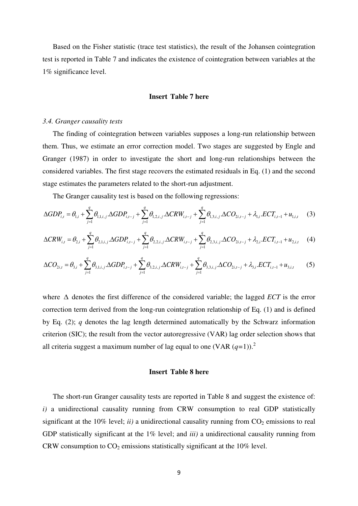Based on the Fisher statistic (trace test statistics), the result of the Johansen cointegration test is reported in Table 7 and indicates the existence of cointegration between variables at the 1% significance level.

# **Insert Table 7 here**

#### *3.4. Granger causality tests*

The finding of cointegration between variables supposes a long-run relationship between them. Thus, we estimate an error correction model. Two stages are suggested by Engle and Granger (1987) in order to investigate the short and long-run relationships between the considered variables. The first stage recovers the estimated residuals in Eq. (1) and the second stage estimates the parameters related to the short-run adjustment.

The Granger causality test is based on the following regressions:

$$
\Delta GDP_{i,t} = \theta_{1,i} + \sum_{j=1}^{q} \theta_{1,1,i,j} \cdot \Delta GDP_{i,t-j} + \sum_{j=1}^{q} \theta_{1,2,i,j} \cdot \Delta CRW_{i,t-j} + \sum_{j=1}^{q} \theta_{1,3,i,j} \cdot \Delta CO_{2i,t-j} + \lambda_{1,i} \cdot ECT_{i,t-1} + u_{1,i,t} \tag{3}
$$

$$
\Delta CRW_{i,t} = \theta_{2,i} + \sum_{j=1}^{q} \theta_{2,1,i,j} \cdot \Delta GDP_{i,t-j} + \sum_{j=1}^{q} \theta_{2,2,i,j} \cdot \Delta CRW_{i,t-j} + \sum_{j=1}^{q} \theta_{2,3,i,j} \cdot \Delta CO_{2i,t-j} + \lambda_{2,i} \cdot ECT_{i,t-1} + u_{2,i,t} \tag{4}
$$

$$
\Delta CO_{2i,t} = \theta_{3,i} + \sum_{j=1}^{q} \theta_{3,1,i,j} \cdot \Delta GDP_{i,t-j} + \sum_{j=1}^{q} \theta_{3,2,i,j} \cdot \Delta CRW_{i,t-j} + \sum_{j=1}^{q} \theta_{3,3,i,j} \cdot \Delta CO_{2i,t-j} + \lambda_{3,i} \cdot ECT_{i,t-1} + u_{3,i,t}
$$
(5)

where  $\Delta$  denotes the first difference of the considered variable; the lagged *ECT* is the error correction term derived from the long-run cointegration relationship of Eq. (1) and is defined by Eq. (2); *q* denotes the lag length determined automatically by the Schwarz information criterion (SIC); the result from the vector autoregressive (VAR) lag order selection shows that all criteria suggest a maximum number of lag equal to one (VAR  $(q=1)$ ).<sup>2</sup>

# **Insert Table 8 here**

The short-run Granger causality tests are reported in Table 8 and suggest the existence of: *i)* a unidirectional causality running from CRW consumption to real GDP statistically significant at the 10% level;  $ii)$  a unidirectional causality running from  $CO<sub>2</sub>$  emissions to real GDP statistically significant at the 1% level; and *iii)* a unidirectional causality running from CRW consumption to  $CO<sub>2</sub>$  emissions statistically significant at the 10% level.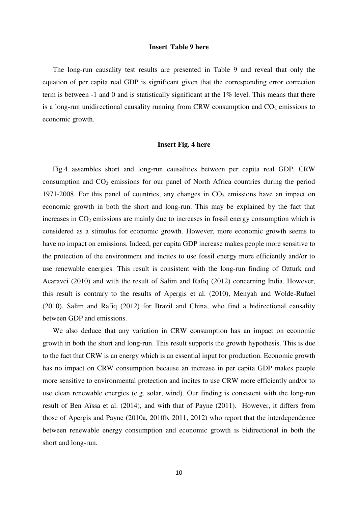# **Insert Table 9 here**

The long-run causality test results are presented in Table 9 and reveal that only the equation of per capita real GDP is significant given that the corresponding error correction term is between -1 and 0 and is statistically significant at the 1% level. This means that there is a long-run unidirectional causality running from CRW consumption and  $CO<sub>2</sub>$  emissions to economic growth.

# **Insert Fig. 4 here**

Fig.4 assembles short and long-run causalities between per capita real GDP, CRW consumption and  $CO<sub>2</sub>$  emissions for our panel of North Africa countries during the period 1971-2008. For this panel of countries, any changes in  $CO<sub>2</sub>$  emissions have an impact on economic growth in both the short and long-run. This may be explained by the fact that increases in  $CO<sub>2</sub>$  emissions are mainly due to increases in fossil energy consumption which is considered as a stimulus for economic growth. However, more economic growth seems to have no impact on emissions. Indeed, per capita GDP increase makes people more sensitive to the protection of the environment and incites to use fossil energy more efficiently and/or to use renewable energies. This result is consistent with the long-run finding of Ozturk and Acaravci (2010) and with the result of Salim and Rafiq (2012) concerning India. However, this result is contrary to the results of Apergis et al. (2010), Menyah and Wolde-Rufael (2010), Salim and Rafiq (2012) for Brazil and China, who find a bidirectional causality between GDP and emissions.

We also deduce that any variation in CRW consumption has an impact on economic growth in both the short and long-run. This result supports the growth hypothesis. This is due to the fact that CRW is an energy which is an essential input for production. Economic growth has no impact on CRW consumption because an increase in per capita GDP makes people more sensitive to environmental protection and incites to use CRW more efficiently and/or to use clean renewable energies (e.g. solar, wind). Our finding is consistent with the long-run result of Ben Aïssa et al. (2014), and with that of Payne (2011). However, it differs from those of Apergis and Payne (2010a, 2010b, 2011, 2012) who report that the interdependence between renewable energy consumption and economic growth is bidirectional in both the short and long-run.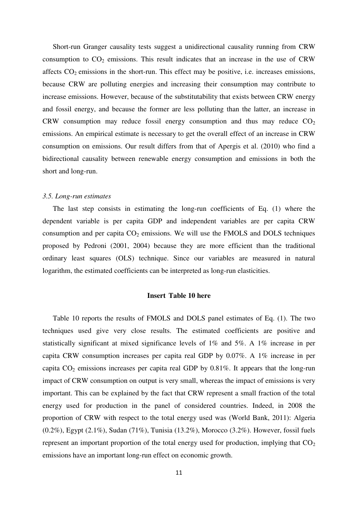Short-run Granger causality tests suggest a unidirectional causality running from CRW consumption to  $CO<sub>2</sub>$  emissions. This result indicates that an increase in the use of CRW affects  $CO<sub>2</sub>$  emissions in the short-run. This effect may be positive, i.e. increases emissions, because CRW are polluting energies and increasing their consumption may contribute to increase emissions. However, because of the substitutability that exists between CRW energy and fossil energy, and because the former are less polluting than the latter, an increase in CRW consumption may reduce fossil energy consumption and thus may reduce  $CO<sub>2</sub>$ emissions. An empirical estimate is necessary to get the overall effect of an increase in CRW consumption on emissions. Our result differs from that of Apergis et al. (2010) who find a bidirectional causality between renewable energy consumption and emissions in both the short and long-run.

### *3.5. Long-run estimates*

The last step consists in estimating the long-run coefficients of Eq. (1) where the dependent variable is per capita GDP and independent variables are per capita CRW consumption and per capita  $CO<sub>2</sub>$  emissions. We will use the FMOLS and DOLS techniques proposed by Pedroni (2001, 2004) because they are more efficient than the traditional ordinary least squares (OLS) technique. Since our variables are measured in natural logarithm, the estimated coefficients can be interpreted as long-run elasticities.

# **Insert Table 10 here**

Table 10 reports the results of FMOLS and DOLS panel estimates of Eq. (1). The two techniques used give very close results. The estimated coefficients are positive and statistically significant at mixed significance levels of 1% and 5%. A 1% increase in per capita CRW consumption increases per capita real GDP by 0.07%. A 1% increase in per capita  $CO<sub>2</sub>$  emissions increases per capita real GDP by 0.81%. It appears that the long-run impact of CRW consumption on output is very small, whereas the impact of emissions is very important. This can be explained by the fact that CRW represent a small fraction of the total energy used for production in the panel of considered countries. Indeed, in 2008 the proportion of CRW with respect to the total energy used was (World Bank, 2011): Algeria (0.2%), Egypt (2.1%), Sudan (71%), Tunisia (13.2%), Morocco (3.2%). However, fossil fuels represent an important proportion of the total energy used for production, implying that  $CO<sub>2</sub>$ emissions have an important long-run effect on economic growth.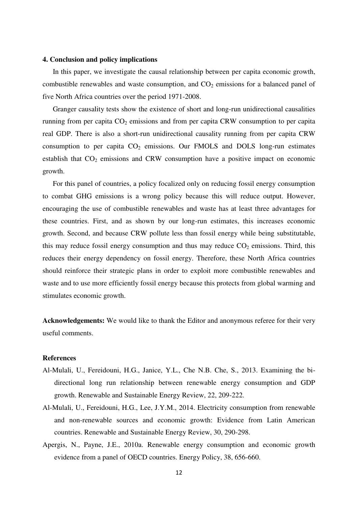#### **4. Conclusion and policy implications**

In this paper, we investigate the causal relationship between per capita economic growth, combustible renewables and waste consumption, and  $CO<sub>2</sub>$  emissions for a balanced panel of five North Africa countries over the period 1971-2008.

Granger causality tests show the existence of short and long-run unidirectional causalities running from per capita  $CO<sub>2</sub>$  emissions and from per capita CRW consumption to per capita real GDP. There is also a short-run unidirectional causality running from per capita CRW consumption to per capita  $CO<sub>2</sub>$  emissions. Our FMOLS and DOLS long-run estimates establish that  $CO<sub>2</sub>$  emissions and CRW consumption have a positive impact on economic growth.

For this panel of countries, a policy focalized only on reducing fossil energy consumption to combat GHG emissions is a wrong policy because this will reduce output. However, encouraging the use of combustible renewables and waste has at least three advantages for these countries. First, and as shown by our long-run estimates, this increases economic growth. Second, and because CRW pollute less than fossil energy while being substitutable, this may reduce fossil energy consumption and thus may reduce  $CO<sub>2</sub>$  emissions. Third, this reduces their energy dependency on fossil energy. Therefore, these North Africa countries should reinforce their strategic plans in order to exploit more combustible renewables and waste and to use more efficiently fossil energy because this protects from global warming and stimulates economic growth.

**Acknowledgements:** We would like to thank the Editor and anonymous referee for their very useful comments.

# **References**

- Al-Mulali, U., Fereidouni, H.G., Janice, Y.L., Che N.B. Che, S., 2013. Examining the bidirectional long run relationship between renewable energy consumption and GDP growth. Renewable and Sustainable Energy Review, 22, 209-222.
- Al-Mulali, U., Fereidouni, H.G., Lee, J.Y.M., 2014. Electricity consumption from renewable and non-renewable sources and economic growth: Evidence from Latin American countries. Renewable and Sustainable Energy Review, 30, 290-298.
- Apergis, N., Payne, J.E., 2010a. Renewable energy consumption and economic growth evidence from a panel of OECD countries. Energy Policy, 38, 656-660.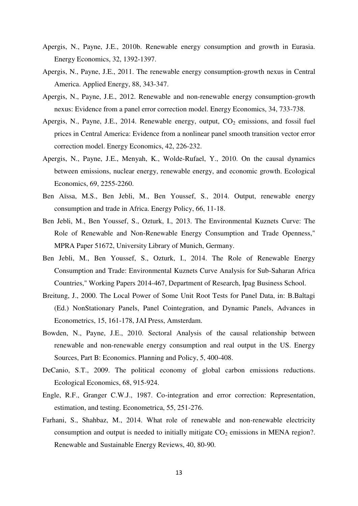- Apergis, N., Payne, J.E., 2010b. Renewable energy consumption and growth in Eurasia. Energy Economics, 32, 1392-1397.
- Apergis, N., Payne, J.E., 2011. The renewable energy consumption-growth nexus in Central America. Applied Energy, 88, 343-347.
- Apergis, N., Payne, J.E., 2012. Renewable and non-renewable energy consumption-growth nexus: Evidence from a panel error correction model. Energy Economics, 34, 733-738.
- Apergis, N., Payne, J.E., 2014. Renewable energy, output,  $CO<sub>2</sub>$  emissions, and fossil fuel prices in Central America: Evidence from a nonlinear panel smooth transition vector error correction model. Energy Economics, 42, 226-232.
- Apergis, N., Payne, J.E., Menyah, K., Wolde-Rufael, Y., 2010. On the causal dynamics between emissions, nuclear energy, renewable energy, and economic growth. Ecological Economics, 69, 2255-2260.
- Ben Aïssa, M.S., Ben Jebli, M., Ben Youssef, S., 2014. Output, renewable energy consumption and trade in Africa. Energy Policy, 66, 11-18.
- Ben Jebli, M., Ben Youssef, S., Ozturk, I., 2013. The Environmental Kuznets Curve: The Role of Renewable and Non-Renewable Energy Consumption and Trade Openness," MPRA Paper 51672, University Library of Munich, Germany.
- Ben Jebli, M., Ben Youssef, S., Ozturk, I., 2014. The Role of Renewable Energy Consumption and Trade: Environmental Kuznets Curve Analysis for Sub-Saharan Africa Countries," Working Papers 2014-467, Department of Research, Ipag Business School.
- Breitung, J., 2000. The Local Power of Some Unit Root Tests for Panel Data, in: B.Baltagi (Ed.) NonStationary Panels, Panel Cointegration, and Dynamic Panels, Advances in Econometrics, 15, 161-178, JAI Press, Amsterdam.
- Bowden, N., Payne, J.E., 2010. Sectoral Analysis of the causal relationship between renewable and non-renewable energy consumption and real output in the US. Energy Sources, Part B: Economics. Planning and Policy, 5, 400-408.
- DeCanio, S.T., 2009. The political economy of global carbon emissions reductions. Ecological Economics, 68, 915-924.
- Engle, R.F., Granger C.W.J., 1987. Co-integration and error correction: Representation, estimation, and testing. Econometrica, 55, 251-276.
- Farhani, S., Shahbaz, M., 2014. What role of renewable and non-renewable electricity consumption and output is needed to initially mitigate  $CO<sub>2</sub>$  emissions in MENA region?. Renewable and Sustainable Energy Reviews, 40, 80-90.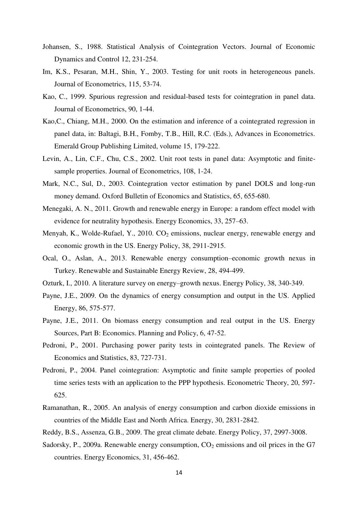- Johansen, S., 1988. Statistical Analysis of Cointegration Vectors. Journal of Economic Dynamics and Control 12, 231-254.
- Im, K.S., Pesaran, M.H., Shin, Y., 2003. Testing for unit roots in heterogeneous panels. Journal of Econometrics, 115, 53-74.
- Kao, C., 1999. Spurious regression and residual-based tests for cointegration in panel data. Journal of Econometrics, 90, 1-44.
- Kao,C., Chiang, M.H., 2000. On the estimation and inference of a cointegrated regression in panel data, in: Baltagi, B.H., Fomby, T.B., Hill, R.C. (Eds.), Advances in Econometrics. Emerald Group Publishing Limited, volume 15, 179-222.
- Levin, A., Lin, C.F., Chu, C.S., 2002. Unit root tests in panel data: Asymptotic and finitesample properties. Journal of Econometrics, 108, 1-24.
- Mark, N.C., Sul, D., 2003. Cointegration vector estimation by panel DOLS and long-run money demand. Oxford Bulletin of Economics and Statistics, 65, 655-680.
- Menegaki, A. N., 2011. Growth and renewable energy in Europe: a random effect model with evidence for neutrality hypothesis. Energy Economics, 33, 257–63.
- Menyah, K., Wolde-Rufael, Y., 2010.  $CO<sub>2</sub>$  emissions, nuclear energy, renewable energy and economic growth in the US. Energy Policy, 38, 2911-2915.
- Ocal, O., Aslan, A., 2013. Renewable energy consumption–economic growth nexus in Turkey. Renewable and Sustainable Energy Review, 28, 494-499.
- Ozturk, I., 2010. A literature survey on energy–growth nexus. Energy Policy, 38, 340-349.
- Payne, J.E., 2009. On the dynamics of energy consumption and output in the US. Applied Energy, 86, 575-577.
- Payne, J.E., 2011. On biomass energy consumption and real output in the US. Energy Sources, Part B: Economics. Planning and Policy, 6, 47-52.
- Pedroni, P., 2001. Purchasing power parity tests in cointegrated panels. The Review of Economics and Statistics, 83, 727-731.
- Pedroni, P., 2004. Panel cointegration: Asymptotic and finite sample properties of pooled time series tests with an application to the PPP hypothesis. Econometric Theory, 20, 597- 625.
- Ramanathan, R., 2005. An analysis of energy consumption and carbon dioxide emissions in countries of the Middle East and North Africa. Energy, 30, 2831-2842.
- Reddy, B.S., Assenza, G.B., 2009. The great climate debate. Energy Policy, 37, 2997-3008.
- Sadorsky, P., 2009a. Renewable energy consumption,  $CO<sub>2</sub>$  emissions and oil prices in the G7 countries. Energy Economics, 31, 456-462.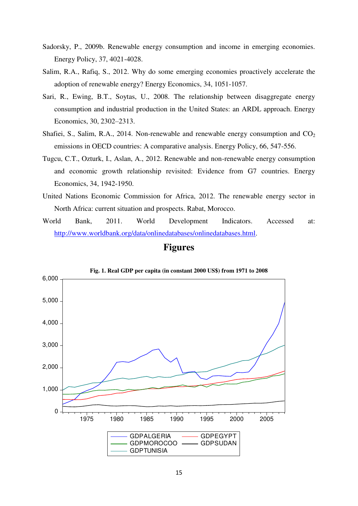- Sadorsky, P., 2009b. Renewable energy consumption and income in emerging economies. Energy Policy, 37, 4021-4028.
- Salim, R.A., Rafiq, S., 2012. Why do some emerging economies proactively accelerate the adoption of renewable energy? Energy Economics, 34, 1051-1057.
- Sari, R., Ewing, B.T., Soytas, U., 2008. The relationship between disaggregate energy consumption and industrial production in the United States: an ARDL approach. Energy Economics, 30, 2302–2313.
- Shafiei, S., Salim, R.A., 2014. Non-renewable and renewable energy consumption and  $CO<sub>2</sub>$ emissions in OECD countries: A comparative analysis. Energy Policy, 66, 547-556.
- Tugcu, C.T., Ozturk, I., Aslan, A., 2012. Renewable and non-renewable energy consumption and economic growth relationship revisited: Evidence from G7 countries. Energy Economics, 34, 1942-1950.
- United Nations Economic Commission for Africa, 2012. The renewable energy sector in North Africa: current situation and prospects. Rabat, Morocco.
- World Bank, 2011. World Development Indicators. Accessed at: [http://www.worldbank.org/data/onlinedatabases/onlinedatabases.html.](http://www.worldbank.org/data/onlinedatabases/onlinedatabases.html)

# **Figures**



**Fig. 1. Real GDP per capita (in constant 2000 US\$) from 1971 to 2008**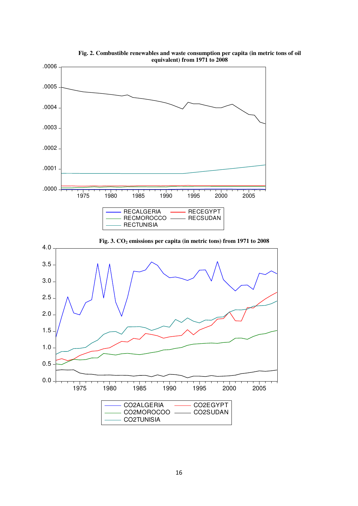

**Fig. 2. Combustible renewables and waste consumption per capita (in metric tons of oil equivalent) from 1971 to 2008**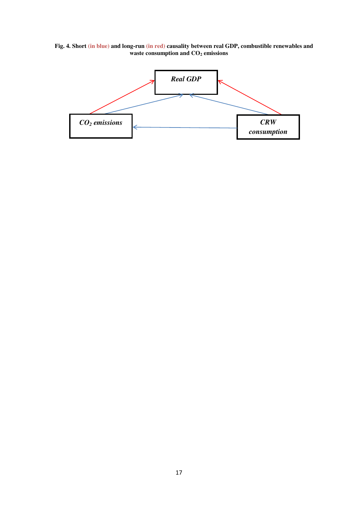**Fig. 4. Short (in blue) and long-run (in red) causality between real GDP, combustible renewables and waste consumption and CO2 emissions** 

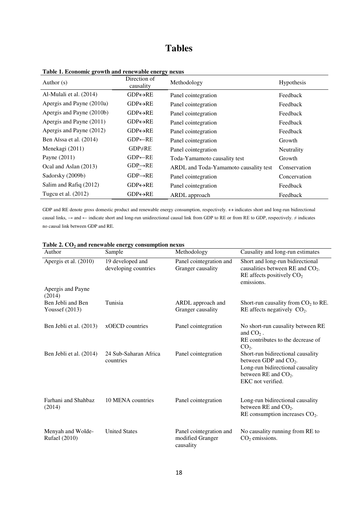# **Tables**

| Author $(s)$              | Direction of<br>causality | Methodology                           | Hypothesis   |
|---------------------------|---------------------------|---------------------------------------|--------------|
| Al-Mulali et al. (2014)   | $GDP \leftrightarrow RE$  | Panel cointegration                   | Feedback     |
| Apergis and Payne (2010a) | $GDP \leftrightarrow RE$  | Panel cointegration                   | Feedback     |
| Apergis and Payne (2010b) | $GDP \leftrightarrow RE$  | Panel cointegration                   | Feedback     |
| Apergis and Payne (2011)  | $GDP \leftrightarrow RE$  | Panel cointegration                   | Feedback     |
| Apergis and Payne (2012)  | $GDP \leftrightarrow RE$  | Panel cointegration                   | Feedback     |
| Ben Aïssa et al. (2014)   | $GDP \leftarrow RE$       | Panel cointegration                   | Growth       |
| Menekagi (2011)           | $GDP \neq RE$             | Panel cointegration                   | Neutrality   |
| Payne (2011)              | $GDP \leftarrow RE$       | Toda-Yamamoto causality test          | Growth       |
| Ocal and Aslan (2013)     | $GDP \rightarrow RE$      | ARDL and Toda-Yamamoto causality test | Conservation |
| Sadorsky (2009b)          | $GDP \rightarrow RE$      | Panel cointegration                   | Concervation |
| Salim and Rafiq (2012)    | $GDP \leftrightarrow RE$  | Panel cointegration                   | Feedback     |
| Tugcu et al. (2012)       | $GDP \leftrightarrow RE$  | ARDL approach                         | Feedback     |

**Table 1. Economic growth and renewable energy nexus** 

GDP and RE denote gross domestic product and renewable energy consumption, respectively.  $\leftrightarrow$  indicates short and long-run bidirectional causal links,  $\rightarrow$  and  $\leftarrow$  indicate short and long-run unidirectional causal link from GDP to RE or from RE to GDP, respectively.  $\neq$  indicates no causal link between GDP and RE.

| Author                                    | Sample                                   | Methodology                                              | Causality and long-run estimates                                                                                                                |
|-------------------------------------------|------------------------------------------|----------------------------------------------------------|-------------------------------------------------------------------------------------------------------------------------------------------------|
| Apergis et al. (2010)                     | 19 developed and<br>developing countries | Panel cointegration and<br>Granger causality             | Short and long-run bidirectional<br>causalities between RE and $CO2$ .<br>RE affects positively $CO2$<br>emissions.                             |
| Apergis and Payne<br>(2014)               |                                          |                                                          |                                                                                                                                                 |
| Ben Jebli and Ben<br>Youssef $(2013)$     | Tunisia                                  | ARDL approach and<br>Granger causality                   | Short-run causality from $CO2$ to RE.<br>RE affects negatively $CO2$ .                                                                          |
| Ben Jebli et al. (2013)                   | xOECD countries                          | Panel cointegration                                      | No short-run causality between RE<br>and $CO2$ .<br>RE contributes to the decrease of<br>$CO2$ .                                                |
| Ben Jebli et al. (2014)                   | 24 Sub-Saharan Africa<br>countries       | Panel cointegration                                      | Short-run bidirectional causality<br>between GDP and $CO2$ .<br>Long-run bidirectional causality<br>between RE and $CO2$ .<br>EKC not verified. |
| Farhani and Shahbaz<br>(2014)             | 10 MENA countries                        | Panel cointegration                                      | Long-run bidirectional causality<br>between RE and $CO2$ .<br>RE consumption increases $CO2$ .                                                  |
| Menyah and Wolde-<br><b>Rufael</b> (2010) | <b>United States</b>                     | Panel cointegration and<br>modified Granger<br>causality | No causality running from RE to<br>$CO2$ emissions.                                                                                             |

|  |  | Table 2. CO <sub>2</sub> and renewable energy consumption nexus |  |
|--|--|-----------------------------------------------------------------|--|
|  |  |                                                                 |  |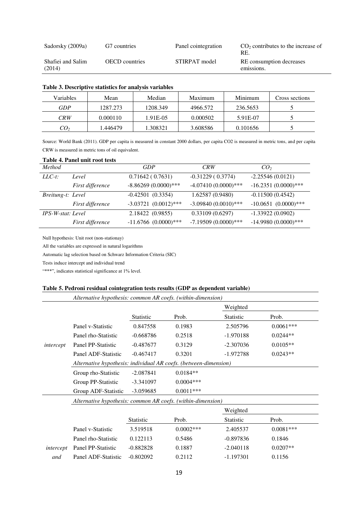| Sadorsky (2009a)            | G7 countries          | Panel cointegration | $CO2$ contributes to the increase of<br>RE. |
|-----------------------------|-----------------------|---------------------|---------------------------------------------|
| Shafiei and Salim<br>(2014) | <b>OECD</b> countries | STIRPAT model       | RE consumption decreases<br>emissions.      |

| Variables       | Mean     | Median   | Maximum  | Minimum  | Cross sections |
|-----------------|----------|----------|----------|----------|----------------|
| GDP             | 1287.273 | 1208.349 | 4966.572 | 236.5653 |                |
| CRW             | 0.000110 | 1.91E-05 | 0.000502 | 5.91E-07 |                |
| CO <sub>2</sub> | .446479  | 1.308321 | 3.608586 | 0.101656 |                |

#### **Table 3. Descriptive statistics for analysis variables**

Source: World Bank (2011). GDP per capita is measured in constant 2000 dollars, per capita CO2 is measured in metric tons, and per capita CRW is measured in metric tons of oil equivalent.

|                   | Table 4. Faller unit Foot tests |                           |                        |                          |
|-------------------|---------------------------------|---------------------------|------------------------|--------------------------|
| <b>Method</b>     |                                 | GDP                       | CRW                    | CO <sub>2</sub>          |
| $LLC-t$ :         | Level                           | 0.71642(0.7631)           | $-0.31229(0.3774)$     | $-2.25546(0.0121)$       |
|                   | First difference                | $-8.86269(0.0000)***$     | $-4.07410(0.0000)***$  | $-16.2351(0.0000)$ ***   |
| Breitung-t: Level |                                 | $-0.42501(0.3354)$        | 1.62587(0.9480)        | $-0.11500(0.4542)$       |
|                   | First difference                | $-3.03721$ $(0.0012)$ *** | $-3.09840(0.0010)$ *** | $-10.0651$ $(0.0000)***$ |
| IPS-W-stat: Level |                                 | 2.18422 (0.9855)          | 0.33109(0.6297)        | $-1.33922(0.0902)$       |
|                   | First difference                | $-11.6766$ $(0.0000)***$  | $-7.19509(0.0000)$ *** | $-14.9980(0.0000)$ ***   |

# **Table 4. Panel unit root tests**

Null hypothesis: Unit root (non-stationay)

All the variables are expressed in natural logarithms

Automatic lag selection based on Schwarz Information Criteria (SIC)

Tests induce intercept and individual trend

"\*\*\*", indicates statistical significance at 1% level.

### **Table 5. Pedroni residual cointegration tests results (GDP as dependent variable)**

| Alternative hypothesis: common AR coefs. (within-dimension) |                                                                  |                  |             |                  |             |  |
|-------------------------------------------------------------|------------------------------------------------------------------|------------------|-------------|------------------|-------------|--|
|                                                             |                                                                  |                  |             | Weighted         |             |  |
|                                                             |                                                                  | <b>Statistic</b> | Prob.       | Statistic        | Prob.       |  |
|                                                             | Panel v-Statistic                                                | 0.847558         | 0.1983      | 2.505796         | $0.0061***$ |  |
|                                                             | Panel rho-Statistic                                              | $-0.668786$      | 0.2518      | -1.970188        | $0.0244**$  |  |
| intercept                                                   | Panel PP-Statistic                                               | $-0.487677$      | 0.3129      | $-2.307036$      | $0.0105**$  |  |
|                                                             | Panel ADF-Statistic                                              | $-0.467417$      | 0.3201      | $-1.972788$      | $0.0243**$  |  |
|                                                             | Alternative hypothesis: individual AR coefs. (between-dimension) |                  |             |                  |             |  |
|                                                             | Group rho-Statistic                                              | $-2.087841$      | $0.0184**$  |                  |             |  |
|                                                             | Group PP-Statistic                                               | $-3.341097$      | $0.0004***$ |                  |             |  |
|                                                             | Group ADF-Statistic                                              | $-3.059685$      | $0.0011***$ |                  |             |  |
|                                                             | Alternative hypothesis: common AR coefs. (within-dimension)      |                  |             |                  |             |  |
|                                                             |                                                                  |                  |             | Weighted         |             |  |
|                                                             |                                                                  | <b>Statistic</b> | Prob.       | <b>Statistic</b> | Prob.       |  |
|                                                             | Panel v-Statistic                                                | 3.519518         | $0.0002***$ | 2.405537         | $0.0081***$ |  |
|                                                             | Panel rho-Statistic                                              | 0.122113         | 0.5486      | $-0.897836$      | 0.1846      |  |
| intercept                                                   | Panel PP-Statistic                                               | $-0.882828$      | 0.1887      | $-2.040118$      | $0.0207**$  |  |
| and                                                         | Panel ADF-Statistic                                              | $-0.802092$      | 0.2112      | $-1.197301$      | 0.1156      |  |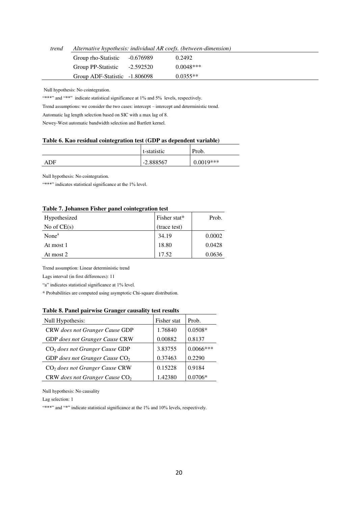*trend Alternative hypothesis: individual AR coefs. (between-dimension)* 

| Group rho-Statistic           | -0.676989 | 0.2492      |
|-------------------------------|-----------|-------------|
| Group PP-Statistic            | -2.592520 | $0.0048***$ |
| Group ADF-Statistic -1.806098 |           | $0.0355**$  |

Null hypothesis: No cointegration.

"\*\*\*" and "\*\*" indicate statistical significance at 1% and 5% levels, respectively.

Trend assumptions: we consider the two cases: intercept – intercept and deterministic trend.

Automatic lag length selection based on SIC with a max lag of 8.

Newey-West automatic bandwidth selection and Bartlett kernel.

#### **Table 6. Kao residual cointegration test (GDP as dependent variable)**

|     | t-statistic | Prob.       |
|-----|-------------|-------------|
| ADF | $-2.888567$ | $0.0019***$ |

Null hypothesis: No cointegration.

"\*\*\*" indicates statistical significance at the 1% level.

#### **Table 7. Johansen Fisher panel cointegration test**

| Hypothesized      | Fisher stat* | Prob.  |
|-------------------|--------------|--------|
| No of $CE(s)$     | (trace test) |        |
| None <sup>a</sup> | 34.19        | 0.0002 |
| At most 1         | 18.80        | 0.0428 |
| At most 2         | 17.52        | 0.0636 |

Trend assumption: Linear deterministic trend

Lags interval (in first differences): 11

"a" indicates statistical significance at 1% level.

\* Probabilities are computed using asymptotic Chi-square distribution.

#### **Table 8. Panel pairwise Granger causality test results**

| Null Hypothesis:                 | Fisher stat | Prob.       |
|----------------------------------|-------------|-------------|
| CRW does not Granger Cause GDP   | 1.76840     | $0.0508*$   |
| GDP does not Granger Cause CRW   | 0.00882     | 0.8137      |
| $CO2$ does not Granger Cause GDP | 3.83755     | $0.0066***$ |
| GDP does not Granger Cause $CO2$ | 0.37463     | 0.2290      |
| $CO2$ does not Granger Cause CRW | 0.15228     | 0.9184      |
| CRW does not Granger Cause $CO2$ | 1.42380     | $0.0706*$   |

Null hypothesis: No causality

Lag selection: 1

"\*\*\*" and "\*" indicate statistical significance at the 1% and 10% levels, respectively.